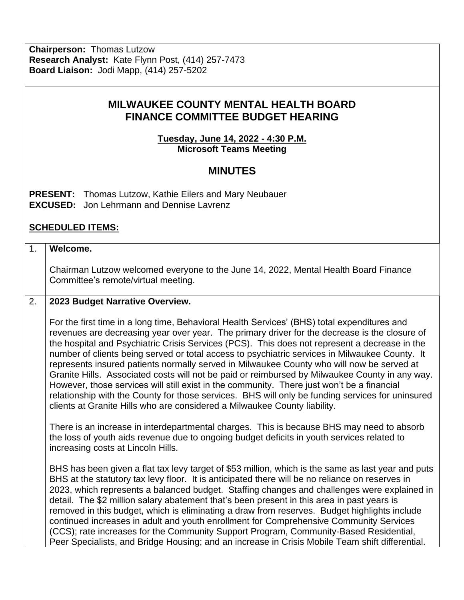**Chairperson:** Thomas Lutzow **Research Analyst:** Kate Flynn Post, (414) 257-7473 **Board Liaison:** Jodi Mapp, (414) 257-5202

# **MILWAUKEE COUNTY MENTAL HEALTH BOARD FINANCE COMMITTEE BUDGET HEARING**

**Tuesday, June 14, 2022 - 4:30 P.M. Microsoft Teams Meeting**

## **MINUTES**

**PRESENT:** Thomas Lutzow, Kathie Eilers and Mary Neubauer **EXCUSED:** Jon Lehrmann and Dennise Lavrenz

### **SCHEDULED ITEMS:**

#### 1. **Welcome.**

Chairman Lutzow welcomed everyone to the June 14, 2022, Mental Health Board Finance Committee's remote/virtual meeting.

#### 2. **2023 Budget Narrative Overview.**

For the first time in a long time, Behavioral Health Services' (BHS) total expenditures and revenues are decreasing year over year. The primary driver for the decrease is the closure of the hospital and Psychiatric Crisis Services (PCS). This does not represent a decrease in the number of clients being served or total access to psychiatric services in Milwaukee County. It represents insured patients normally served in Milwaukee County who will now be served at Granite Hills. Associated costs will not be paid or reimbursed by Milwaukee County in any way. However, those services will still exist in the community. There just won't be a financial relationship with the County for those services. BHS will only be funding services for uninsured clients at Granite Hills who are considered a Milwaukee County liability.

There is an increase in interdepartmental charges. This is because BHS may need to absorb the loss of youth aids revenue due to ongoing budget deficits in youth services related to increasing costs at Lincoln Hills.

BHS has been given a flat tax levy target of \$53 million, which is the same as last year and puts BHS at the statutory tax levy floor. It is anticipated there will be no reliance on reserves in 2023, which represents a balanced budget. Staffing changes and challenges were explained in detail. The \$2 million salary abatement that's been present in this area in past years is removed in this budget, which is eliminating a draw from reserves. Budget highlights include continued increases in adult and youth enrollment for Comprehensive Community Services (CCS); rate increases for the Community Support Program, Community-Based Residential, Peer Specialists, and Bridge Housing; and an increase in Crisis Mobile Team shift differential.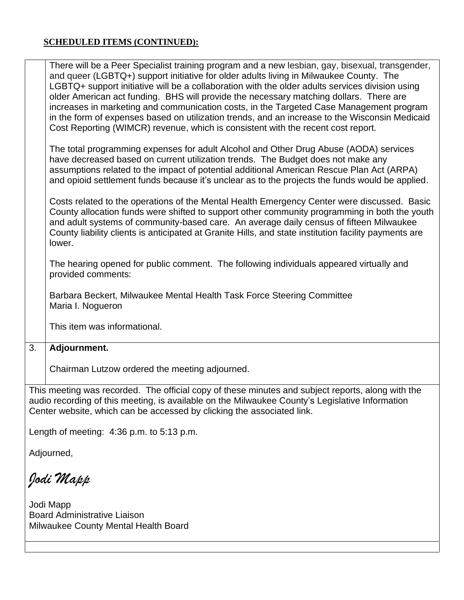### **SCHEDULED ITEMS (CONTINUED):**

|                                                                                                                                                                                                                                                                                | There will be a Peer Specialist training program and a new lesbian, gay, bisexual, transgender,<br>and queer (LGBTQ+) support initiative for older adults living in Milwaukee County. The<br>LGBTQ+ support initiative will be a collaboration with the older adults services division using<br>older American act funding. BHS will provide the necessary matching dollars. There are<br>increases in marketing and communication costs, in the Targeted Case Management program<br>in the form of expenses based on utilization trends, and an increase to the Wisconsin Medicaid<br>Cost Reporting (WIMCR) revenue, which is consistent with the recent cost report. |
|--------------------------------------------------------------------------------------------------------------------------------------------------------------------------------------------------------------------------------------------------------------------------------|-------------------------------------------------------------------------------------------------------------------------------------------------------------------------------------------------------------------------------------------------------------------------------------------------------------------------------------------------------------------------------------------------------------------------------------------------------------------------------------------------------------------------------------------------------------------------------------------------------------------------------------------------------------------------|
|                                                                                                                                                                                                                                                                                | The total programming expenses for adult Alcohol and Other Drug Abuse (AODA) services<br>have decreased based on current utilization trends. The Budget does not make any<br>assumptions related to the impact of potential additional American Rescue Plan Act (ARPA)<br>and opioid settlement funds because it's unclear as to the projects the funds would be applied.                                                                                                                                                                                                                                                                                               |
|                                                                                                                                                                                                                                                                                | Costs related to the operations of the Mental Health Emergency Center were discussed. Basic<br>County allocation funds were shifted to support other community programming in both the youth<br>and adult systems of community-based care. An average daily census of fifteen Milwaukee<br>County liability clients is anticipated at Granite Hills, and state institution facility payments are<br>lower.                                                                                                                                                                                                                                                              |
|                                                                                                                                                                                                                                                                                | The hearing opened for public comment. The following individuals appeared virtually and<br>provided comments:                                                                                                                                                                                                                                                                                                                                                                                                                                                                                                                                                           |
|                                                                                                                                                                                                                                                                                | Barbara Beckert, Milwaukee Mental Health Task Force Steering Committee<br>Maria I. Nogueron                                                                                                                                                                                                                                                                                                                                                                                                                                                                                                                                                                             |
|                                                                                                                                                                                                                                                                                | This item was informational.                                                                                                                                                                                                                                                                                                                                                                                                                                                                                                                                                                                                                                            |
| 3.                                                                                                                                                                                                                                                                             | Adjournment.                                                                                                                                                                                                                                                                                                                                                                                                                                                                                                                                                                                                                                                            |
|                                                                                                                                                                                                                                                                                | Chairman Lutzow ordered the meeting adjourned.                                                                                                                                                                                                                                                                                                                                                                                                                                                                                                                                                                                                                          |
| This meeting was recorded. The official copy of these minutes and subject reports, along with the<br>audio recording of this meeting, is available on the Milwaukee County's Legislative Information<br>Center website, which can be accessed by clicking the associated link. |                                                                                                                                                                                                                                                                                                                                                                                                                                                                                                                                                                                                                                                                         |
| Length of meeting: $4:36$ p.m. to $5:13$ p.m.                                                                                                                                                                                                                                  |                                                                                                                                                                                                                                                                                                                                                                                                                                                                                                                                                                                                                                                                         |
| Adjourned,                                                                                                                                                                                                                                                                     |                                                                                                                                                                                                                                                                                                                                                                                                                                                                                                                                                                                                                                                                         |
| Jodi Mapp                                                                                                                                                                                                                                                                      |                                                                                                                                                                                                                                                                                                                                                                                                                                                                                                                                                                                                                                                                         |

Jodi Mapp Board Administrative Liaison Milwaukee County Mental Health Board